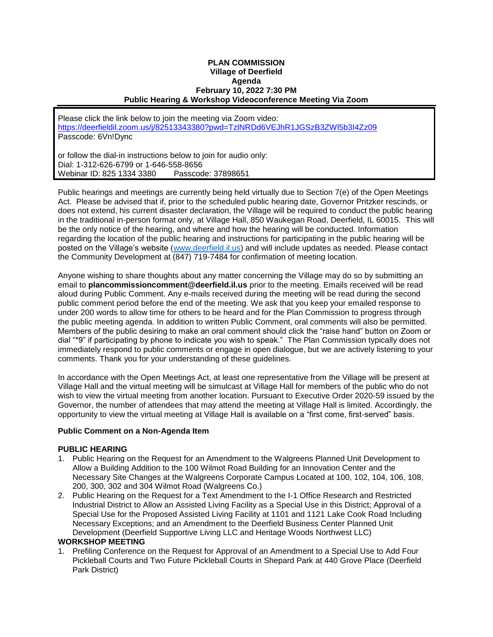## **PLAN COMMISSION Village of Deerfield Agenda February 10, 2022 7:30 PM Public Hearing & Workshop Videoconference Meeting Via Zoom**

Please click the link below to join the meeting via Zoom video: <https://deerfieldil.zoom.us/j/82513343380?pwd=TzlNRDd6VEJhR1JGSzB3ZWl5b3I4Zz09> Passcode: 6Vn!Dync

or follow the dial-in instructions below to join for audio only: Dial: 1-312-626-6799 or 1-646-558-8656 Webinar ID: 825 1334 3380 Passcode: 37898651

Public hearings and meetings are currently being held virtually due to Section 7(e) of the Open Meetings Act. Please be advised that if, prior to the scheduled public hearing date, Governor Pritzker rescinds, or does not extend, his current disaster declaration, the Village will be required to conduct the public hearing in the traditional in-person format only, at Village Hall, 850 Waukegan Road, Deerfield, IL 60015. This will be the only notice of the hearing, and where and how the hearing will be conducted. Information regarding the location of the public hearing and instructions for participating in the public hearing will be posted on the Village's website [\(www.deerfield.il.us\)](http://www.deerfield.il.us/) and will include updates as needed. Please contact the Community Development at (847) 719-7484 for confirmation of meeting location.

Anyone wishing to share thoughts about any matter concerning the Village may do so by submitting an email to **plancommissioncomment@deerfield.il.us** prior to the meeting. Emails received will be read aloud during Public Comment. Any e-mails received during the meeting will be read during the second public comment period before the end of the meeting. We ask that you keep your emailed response to under 200 words to allow time for others to be heard and for the Plan Commission to progress through the public meeting agenda. In addition to written Public Comment, oral comments will also be permitted. Members of the public desiring to make an oral comment should click the "raise hand" button on Zoom or dial "\*9" if participating by phone to indicate you wish to speak." The Plan Commission typically does not immediately respond to public comments or engage in open dialogue, but we are actively listening to your comments. Thank you for your understanding of these guidelines.

In accordance with the Open Meetings Act, at least one representative from the Village will be present at Village Hall and the virtual meeting will be simulcast at Village Hall for members of the public who do not wish to view the virtual meeting from another location. Pursuant to Executive Order 2020-59 issued by the Governor, the number of attendees that may attend the meeting at Village Hall is limited. Accordingly, the opportunity to view the virtual meeting at Village Hall is available on a "first come, first-served" basis.

## **Public Comment on a Non-Agenda Item**

## **PUBLIC HEARING**

- 1. Public Hearing on the Request for an Amendment to the Walgreens Planned Unit Development to Allow a Building Addition to the 100 Wilmot Road Building for an Innovation Center and the Necessary Site Changes at the Walgreens Corporate Campus Located at 100, 102, 104, 106, 108, 200, 300, 302 and 304 Wilmot Road (Walgreens Co.)
- 2. Public Hearing on the Request for a Text Amendment to the I-1 Office Research and Restricted Industrial District to Allow an Assisted Living Facility as a Special Use in this District; Approval of a Special Use for the Proposed Assisted Living Facility at 1101 and 1121 Lake Cook Road Including Necessary Exceptions; and an Amendment to the Deerfield Business Center Planned Unit Development (Deerfield Supportive Living LLC and Heritage Woods Northwest LLC)

## **WORKSHOP MEETING**

1. Prefiling Conference on the Request for Approval of an Amendment to a Special Use to Add Four Pickleball Courts and Two Future Pickleball Courts in Shepard Park at 440 Grove Place (Deerfield Park District)